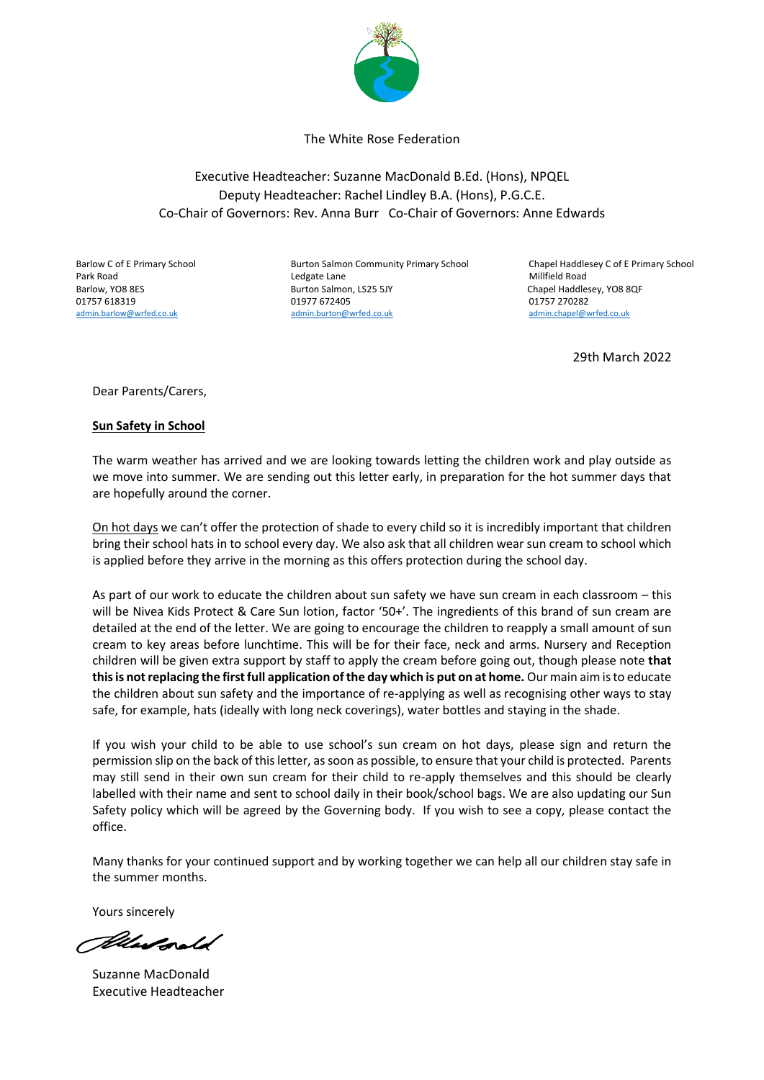

The White Rose Federation

Executive Headteacher: Suzanne MacDonald B.Ed. (Hons), NPQEL Deputy Headteacher: Rachel Lindley B.A. (Hons), P.G.C.E. Co-Chair of Governors: Rev. Anna Burr Co-Chair of Governors: Anne Edwards

Barlow C of E Primary School Burton Salmon Community Primary School Chapel Haddlesey C of E Primary School Park Road **Research Strutter Legate Lane** Ledgate Lane Millfield Road Millfield Road Barlow, YO8 8ES **Burton Salmon, LS25 5JY** Chapel Haddlesey, YO8 8QF 01757 618319 01977 672405 01757 270282 [admin.barlow@wrfed.co.uk](mailto:admin.barlow@wrfed.co.uk) [admin.burton@wrfed.co.uk](mailto:admin.burton@wrfed.co.uk) admin.barlow@wrfed.co.uk admin.chapel@wrfed.co.uk

29th March 2022

Dear Parents/Carers,

## **Sun Safety in School**

The warm weather has arrived and we are looking towards letting the children work and play outside as we move into summer. We are sending out this letter early, in preparation for the hot summer days that are hopefully around the corner.

On hot days we can't offer the protection of shade to every child so it is incredibly important that children bring their school hats in to school every day. We also ask that all children wear sun cream to school which is applied before they arrive in the morning as this offers protection during the school day.

As part of our work to educate the children about sun safety we have sun cream in each classroom – this will be Nivea Kids Protect & Care Sun lotion, factor '50+'. The ingredients of this brand of sun cream are detailed at the end of the letter. We are going to encourage the children to reapply a small amount of sun cream to key areas before lunchtime. This will be for their face, neck and arms. Nursery and Reception children will be given extra support by staff to apply the cream before going out, though please note **that this is not replacing the first full application of the day which is put on at home.** Our main aim is to educate the children about sun safety and the importance of re-applying as well as recognising other ways to stay safe, for example, hats (ideally with long neck coverings), water bottles and staying in the shade.

If you wish your child to be able to use school's sun cream on hot days, please sign and return the permission slip on the back of this letter, as soon as possible, to ensure that your child is protected. Parents may still send in their own sun cream for their child to re-apply themselves and this should be clearly labelled with their name and sent to school daily in their book/school bags. We are also updating our Sun Safety policy which will be agreed by the Governing body. If you wish to see a copy, please contact the office.

Many thanks for your continued support and by working together we can help all our children stay safe in the summer months.

Yours sincerely

Allandgrald

Suzanne MacDonald Executive Headteacher